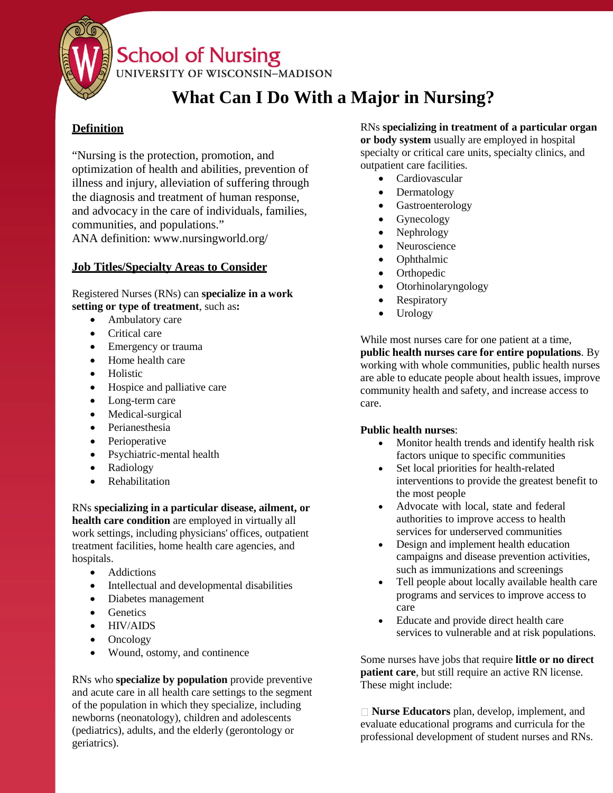

# **School of Nursing**

UNIVERSITY OF WISCONSIN-MADISON

# **What Can I Do With a Major in Nursing?**

## **Definition**

"Nursing is the protection, promotion, and optimization of health and abilities, prevention of illness and injury, alleviation of suffering through the diagnosis and treatment of human response, and advocacy in the care of individuals, families, communities, and populations."

ANA d[efinition: www.nursingworld.org/](http://www.nursingworld.org/)

## **Job Titles/Specialty Areas to Consider**

Registered Nurses (RNs) can **specialize in a work setting or type of treatment**, such as**:**

- Ambulatory care
- Critical care
- Emergency or trauma
- Home health care
- Holistic
- Hospice and palliative care
- Long-term care
- Medical-surgical
- Perianesthesia
- Perioperative
- Psychiatric-mental health
- Radiology
- Rehabilitation

RNs **specializing in a particular disease, ailment, or health care condition** are employed in virtually all work settings, including physicians' offices, outpatient treatment facilities, home health care agencies, and hospitals.

- Addictions
- Intellectual and developmental disabilities
- Diabetes management
- Genetics
- HIV/AIDS
- Oncology
- Wound, ostomy, and continence

RNs who **specialize by population** provide preventive and acute care in all health care settings to the segment of the population in which they specialize, including newborns (neonatology), children and adolescents (pediatrics), adults, and the elderly (gerontology or geriatrics).

RNs **specializing in treatment of a particular organ or body system** usually are employed in hospital specialty or critical care units, specialty clinics, and outpatient care facilities.

- **Cardiovascular**
- Dermatology
- Gastroenterology
- **Gynecology**
- Nephrology
- Neuroscience
- Ophthalmic
- **Orthopedic**
- Otorhinolaryngology
- Respiratory
- Urology

While most nurses care for one patient at a time, **public health nurses care for entire populations**. By working with whole communities, public health nurses are able to educate people about health issues, improve community health and safety, and increase access to care.

### **Public health nurses**:

- Monitor health trends and identify health risk factors unique to specific communities
- Set local priorities for health-related interventions to provide the greatest benefit to the most people
- Advocate with local, state and federal authorities to improve access to health services for underserved communities
- Design and implement health education campaigns and disease prevention activities, such as immunizations and screenings
- Tell people about locally available health care programs and services to improve access to care
- Educate and provide direct health care services to vulnerable and at risk populations.

Some nurses have jobs that require **little or no direct patient care**, but still require an active RN license. These might include:

**Nurse Educators** plan, develop, implement, and evaluate educational programs and curricula for the professional development of student nurses and RNs.